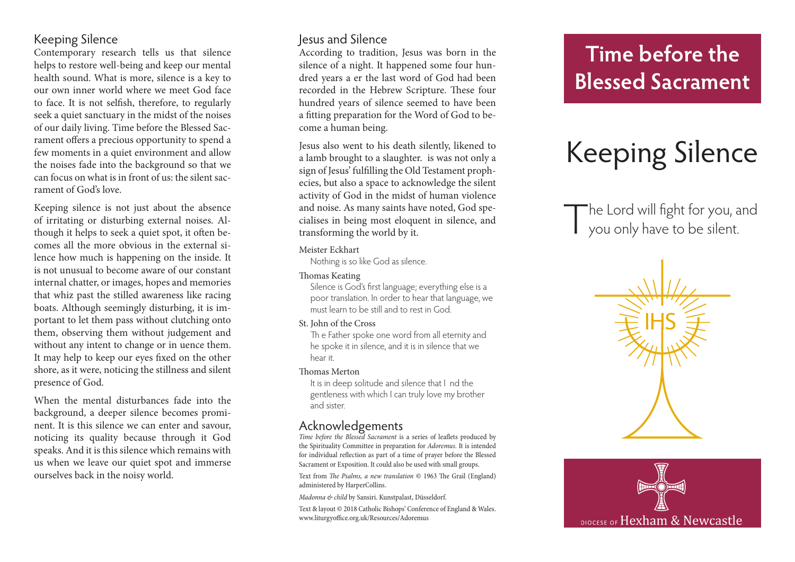### Keeping Silence

Contemporary research tells us that silence helps to restore well-being and keep our mental health sound. What is more, silence is a key to our own inner world where we meet God face to face. It is not selfish, therefore, to regularly seek a quiet sanctuary in the midst of the noises of our daily living. Time before the Blessed Sacrament offers a precious opportunity to spend a few moments in a quiet environment and allow the noises fade into the background so that we can focus on what is in front of us: the silent sacrament of God's love.

Keeping silence is not just about the absence of irritating or disturbing external noises. Although it helps to seek a quiet spot, it often becomes all the more obvious in the external silence how much is happening on the inside. It is not unusual to become aware of our constant internal chatter, or images, hopes and memories that whiz past the stilled awareness like racing boats. Although seemingly disturbing, it is important to let them pass without clutching onto them, observing them without judgement and without any intent to change or in uence them. It may help to keep our eyes fixed on the other shore, as it were, noticing the stillness and silent presence of God.

When the mental disturbances fade into the background, a deeper silence becomes prominent. It is this silence we can enter and savour, noticing its quality because through it God speaks. And it is this silence which remains with us when we leave our quiet spot and immerse ourselves back in the noisy world.

### Jesus and Silence

According to tradition, Jesus was born in the silence of a night. It happened some four hundred years a er the last word of God had been recorded in the Hebrew Scripture. These four hundred years of silence seemed to have been a fitting preparation for the Word of God to become a human being.

Jesus also went to his death silently, likened to a lamb brought to a slaughter. is was not only a sign of Jesus' fulfilling the Old Testament prophecies, but also a space to acknowledge the silent activity of God in the midst of human violence and noise. As many saints have noted, God specialises in being most eloquent in silence, and transforming the world by it.

#### Meister Eckhart

Nothing is so like God as silence.

Thomas Keating

Silence is God's first language; everything else is a poor translation. In order to hear that language, we must learn to be still and to rest in God.

St. John of the Cross

Th e Father spoke one word from all eternity and he spoke it in silence, and it is in silence that we hear it.

Thomas Merton

It is in deep solitude and silence that I nd the gentleness with which I can truly love my brother and sister.

### Acknowledgements

*Time before the Blessed Sacrament* is a series of leaflets produced by the Spirituality Committee in preparation for *Adoremus*. It is intended for individual reflection as part of a time of prayer before the Blessed Sacrament or Exposition. It could also be used with small groups.

Text from *The Psalms, a new translation* © 1963 The Grail (England) administered by HarperCollins.

*Madonna & child* by Sansiri. Kunstpalast, Düsseldorf*.*

Text & layout © 2018 Catholic Bishops' Conference of England & Wales. www.liturgyoffice.org.uk/Resources/Adoremus

## **Time before the Blessed Sacrament**

# Keeping Silence

The Lord will fight for you, and<br>you only have to be silent.